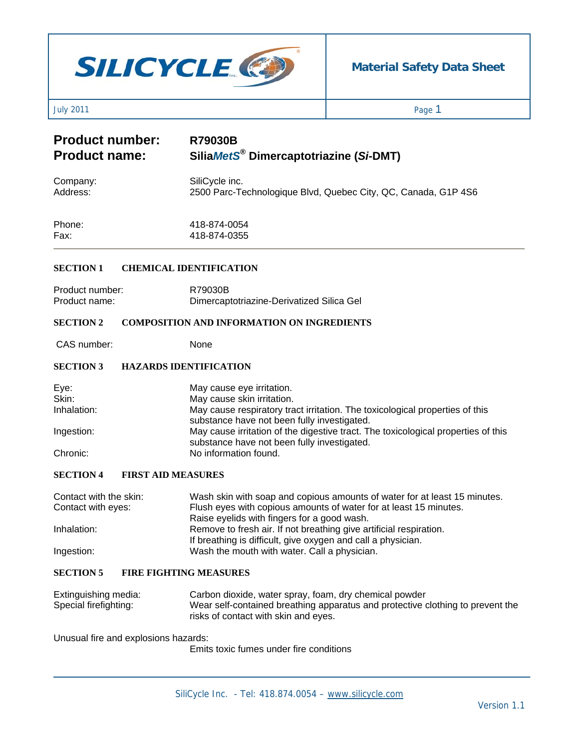# **SILICYCLE**

## **Material Safety Data Sheet**

July 2011 Page 1

# **Product number:** R79030B<br>Product name: SiliaMetS **Product name: Silia***MetS***® Dimercaptotriazine (***Si***-DMT)**

| Company: | SiliCycle inc.                                                 |
|----------|----------------------------------------------------------------|
| Address: | 2500 Parc-Technologique Blvd, Quebec City, QC, Canada, G1P 4S6 |
|          |                                                                |

| Phone: | 418-874-0054 |
|--------|--------------|
| Fax:   | 418-874-0355 |

#### **SECTION 1 CHEMICAL IDENTIFICATION**

| Product number: | R79030B                                   |
|-----------------|-------------------------------------------|
| Product name:   | Dimercaptotriazine-Derivatized Silica Gel |

#### **SECTION 2 COMPOSITION AND INFORMATION ON INGREDIENTS**

CAS number: None

#### **SECTION 3 HAZARDS IDENTIFICATION**

| Eye:        | May cause eye irritation.                                                                                                        |
|-------------|----------------------------------------------------------------------------------------------------------------------------------|
| Skin:       | May cause skin irritation.                                                                                                       |
| Inhalation: | May cause respiratory tract irritation. The toxicological properties of this                                                     |
|             | substance have not been fully investigated.                                                                                      |
| Ingestion:  | May cause irritation of the digestive tract. The toxicological properties of this<br>substance have not been fully investigated. |
| Chronic:    | No information found.                                                                                                            |

#### **SECTION 4 FIRST AID MEASURES**

| Contact with the skin:<br>Contact with eyes: | Wash skin with soap and copious amounts of water for at least 15 minutes.<br>Flush eyes with copious amounts of water for at least 15 minutes. |
|----------------------------------------------|------------------------------------------------------------------------------------------------------------------------------------------------|
|                                              | Raise eyelids with fingers for a good wash.                                                                                                    |
| Inhalation:                                  | Remove to fresh air. If not breathing give artificial respiration.                                                                             |
|                                              | If breathing is difficult, give oxygen and call a physician.                                                                                   |
| Ingestion:                                   | Wash the mouth with water. Call a physician.                                                                                                   |

#### **SECTION 5 FIRE FIGHTING MEASURES**

| Extinguishing media:  | Carbon dioxide, water spray, foam, dry chemical powder                         |
|-----------------------|--------------------------------------------------------------------------------|
| Special firefighting: | Wear self-contained breathing apparatus and protective clothing to prevent the |
|                       | risks of contact with skin and eyes.                                           |

Unusual fire and explosions hazards:

Emits toxic fumes under fire conditions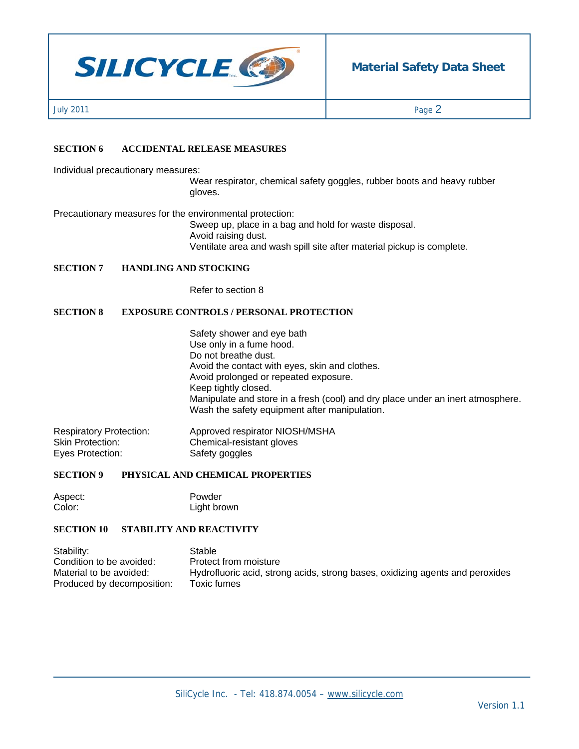

July 2011  $\qquad \qquad$  Page  $2$ 

#### **SECTION 6 ACCIDENTAL RELEASE MEASURES**

Individual precautionary measures:

Wear respirator, chemical safety goggles, rubber boots and heavy rubber gloves.

Precautionary measures for the environmental protection:

Sweep up, place in a bag and hold for waste disposal. Avoid raising dust. Ventilate area and wash spill site after material pickup is complete.

#### **SECTION 7 HANDLING AND STOCKING**

Refer to section 8

#### **SECTION 8 EXPOSURE CONTROLS / PERSONAL PROTECTION**

Safety shower and eye bath Use only in a fume hood. Do not breathe dust. Avoid the contact with eyes, skin and clothes. Avoid prolonged or repeated exposure. Keep tightly closed. Manipulate and store in a fresh (cool) and dry place under an inert atmosphere. Wash the safety equipment after manipulation.

Respiratory Protection: Approved respirator NIOSH/MSHA<br>
Skin Protection: Chemical-resistant gloves Chemical-resistant gloves Eyes Protection: Safety goggles

#### **SECTION 9 PHYSICAL AND CHEMICAL PROPERTIES**

Aspect: Powder Color: Light brown

#### **SECTION 10 STABILITY AND REACTIVITY**

| Stability:                 | Stable                                                                        |
|----------------------------|-------------------------------------------------------------------------------|
| Condition to be avoided:   | Protect from moisture                                                         |
| Material to be avoided:    | Hydrofluoric acid, strong acids, strong bases, oxidizing agents and peroxides |
| Produced by decomposition: | Toxic fumes                                                                   |